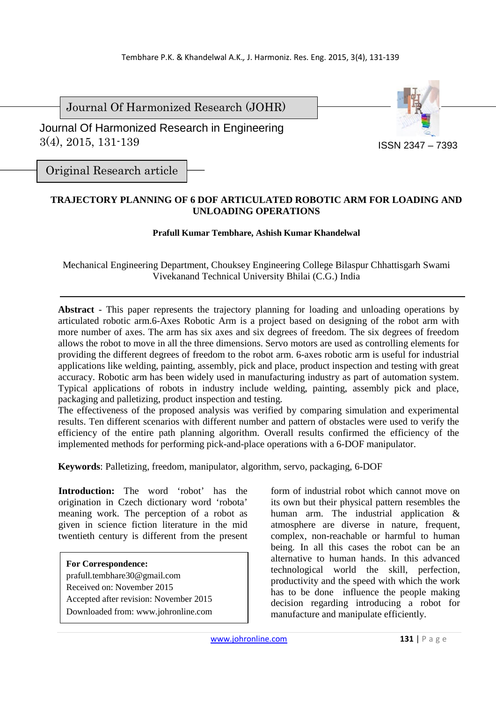Journal Of Harmonized Research (JOHR)

 Journal Of Harmonized Research in Engineering 3(4), 2015, 131-139



Original Research article

# **TRAJECTORY PLANNING OF 6 DOF ARTICULATED ROBOTIC ARM FOR LOADING AND UNLOADING OPERATIONS**

# **Prafull Kumar Tembhare, Ashish Kumar Khandelwal**

Mechanical Engineering Department, Chouksey Engineering College Bilaspur Chhattisgarh Swami Vivekanand Technical University Bhilai (C.G.) India

**Abstract** - This paper represents the trajectory planning for loading and unloading operations by articulated robotic arm.6-Axes Robotic Arm is a project based on designing of the robot arm with more number of axes. The arm has six axes and six degrees of freedom. The six degrees of freedom allows the robot to move in all the three dimensions. Servo motors are used as controlling elements for providing the different degrees of freedom to the robot arm. 6-axes robotic arm is useful for industrial applications like welding, painting, assembly, pick and place, product inspection and testing with great accuracy. Robotic arm has been widely used in manufacturing industry as part of automation system. Typical applications of robots in industry include welding, painting, assembly pick and place, packaging and palletizing, product inspection and testing.

The effectiveness of the proposed analysis was verified by comparing simulation and experimental results. Ten different scenarios with different number and pattern of obstacles were used to verify the efficiency of the entire path planning algorithm. Overall results confirmed the efficiency of the implemented methods for performing pick-and-place operations with a 6-DOF manipulator.

**Keywords**: Palletizing, freedom, manipulator, algorithm, servo, packaging, 6-DOF

**Introduction:** The word 'robot' has the origination in Czech dictionary word 'robota' meaning work. The perception of a robot as given in science fiction literature in the mid twentieth century is different from the present

**For Correspondence:**  prafull.tembhare30@gmail.com Received on: November 2015 Accepted after revision: November 2015 Downloaded from: www.johronline.com

form of industrial robot which cannot move on its own but their physical pattern resembles the human arm. The industrial application & atmosphere are diverse in nature, frequent, complex, non-reachable or harmful to human being. In all this cases the robot can be an alternative to human hands. In this advanced technological world the skill, perfection, productivity and the speed with which the work has to be done influence the people making decision regarding introducing a robot for manufacture and manipulate efficiently.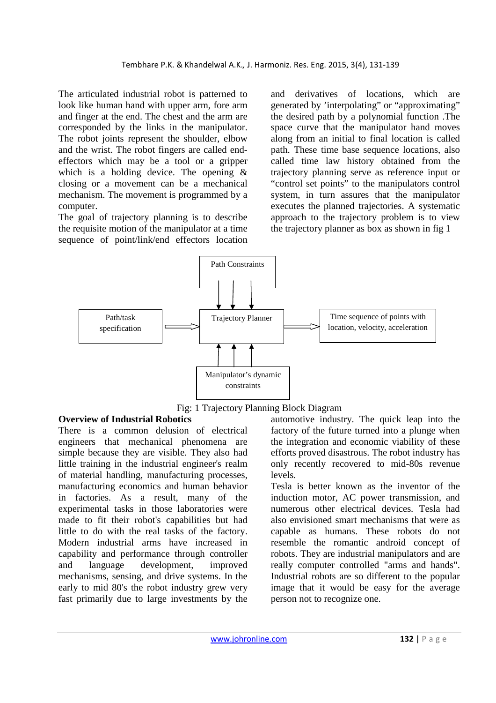The articulated industrial robot is patterned to look like human hand with upper arm, fore arm and finger at the end. The chest and the arm are corresponded by the links in the manipulator. The robot joints represent the shoulder, elbow and the wrist. The robot fingers are called endeffectors which may be a tool or a gripper which is a holding device. The opening & closing or a movement can be a mechanical mechanism. The movement is programmed by a computer.

The goal of trajectory planning is to describe the requisite motion of the manipulator at a time sequence of point/link/end effectors location and derivatives of locations, which are generated by 'interpolating" or "approximating" the desired path by a polynomial function .The space curve that the manipulator hand moves along from an initial to final location is called path. These time base sequence locations, also called time law history obtained from the trajectory planning serve as reference input or "control set points" to the manipulators control system, in turn assures that the manipulator executes the planned trajectories. A systematic approach to the trajectory problem is to view the trajectory planner as box as shown in fig 1





## **Overview of Industrial Robotics**

There is a common delusion of electrical engineers that mechanical phenomena are simple because they are visible. They also had little training in the industrial engineer's realm of material handling, manufacturing processes, manufacturing economics and human behavior in factories. As a result, many of the experimental tasks in those laboratories were made to fit their robot's capabilities but had little to do with the real tasks of the factory. Modern industrial arms have increased in capability and performance through controller and language development, improved mechanisms, sensing, and drive systems. In the early to mid 80's the robot industry grew very fast primarily due to large investments by the

automotive industry. The quick leap into the factory of the future turned into a plunge when the integration and economic viability of these efforts proved disastrous. The robot industry has only recently recovered to mid-80s revenue levels.

Tesla is better known as the inventor of the induction motor, AC power transmission, and numerous other electrical devices. Tesla had also envisioned smart mechanisms that were as capable as humans. These robots do not resemble the romantic android concept of robots. They are industrial manipulators and are really computer controlled "arms and hands". Industrial robots are so different to the popular image that it would be easy for the average person not to recognize one.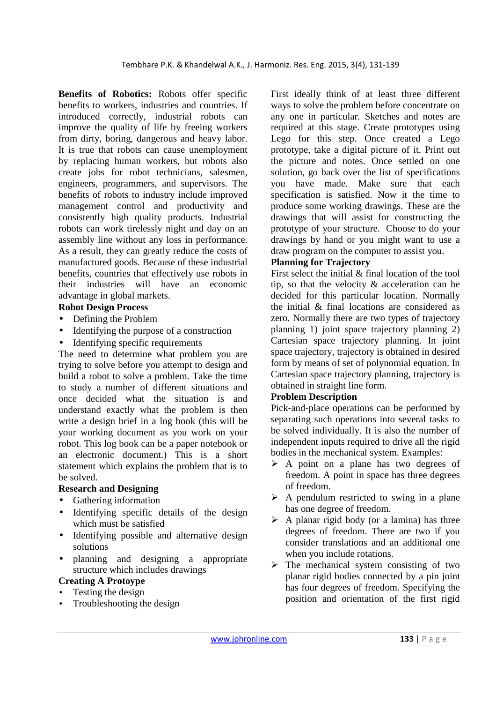**Benefits of Robotics:** Robots offer specific benefits to workers, industries and countries. If introduced correctly, industrial robots can improve the quality of life by freeing workers from dirty, boring, dangerous and heavy labor. It is true that robots can cause unemployment by replacing human workers, but robots also create jobs for robot technicians, salesmen, engineers, programmers, and supervisors. The benefits of robots to industry include improved management control and productivity and consistently high quality products. Industrial robots can work tirelessly night and day on an assembly line without any loss in performance. As a result, they can greatly reduce the costs of manufactured goods. Because of these industrial benefits, countries that effectively use robots in their industries will have an economic advantage in global markets.

# **Robot Design Process**

- Defining the Problem
- Identifying the purpose of a construction
- Identifying specific requirements

The need to determine what problem you are trying to solve before you attempt to design and build a robot to solve a problem. Take the time to study a number of different situations and once decided what the situation is and understand exactly what the problem is then write a design brief in a log book (this will be your working document as you work on your robot. This log book can be a paper notebook or an electronic document.) This is a short statement which explains the problem that is to be solved.

# **Research and Designing**

- Gathering information
- Identifying specific details of the design which must be satisfied
- Identifying possible and alternative design solutions
- planning and designing a appropriate structure which includes drawings

## **Creating A Protoype**

- Testing the design
- Troubleshooting the design

First ideally think of at least three different ways to solve the problem before concentrate on any one in particular. Sketches and notes are required at this stage. Create prototypes using Lego for this step. Once created a Lego prototype, take a digital picture of it. Print out the picture and notes. Once settled on one solution, go back over the list of specifications you have made. Make sure that each specification is satisfied. Now it the time to produce some working drawings. These are the drawings that will assist for constructing the prototype of your structure. Choose to do your drawings by hand or you might want to use a draw program on the computer to assist you.

## **Planning for Trajectory**

First select the initial & final location of the tool tip, so that the velocity & acceleration can be decided for this particular location. Normally the initial & final locations are considered as zero. Normally there are two types of trajectory planning 1) joint space trajectory planning 2) Cartesian space trajectory planning. In joint space trajectory, trajectory is obtained in desired form by means of set of polynomial equation. In Cartesian space trajectory planning, trajectory is obtained in straight line form.

## **Problem Description**

Pick-and-place operations can be performed by separating such operations into several tasks to be solved individually. It is also the number of independent inputs required to drive all the rigid bodies in the mechanical system. Examples:

- $\triangleright$  A point on a plane has two degrees of freedom. A point in space has three degrees of freedom.
- $\triangleright$  A pendulum restricted to swing in a plane has one degree of freedom.
- $\triangleright$  A planar rigid body (or a lamina) has three degrees of freedom. There are two if you consider translations and an additional one when you include rotations.
- $\triangleright$  The mechanical system consisting of two planar rigid bodies connected by a pin joint has four degrees of freedom. Specifying the position and orientation of the first rigid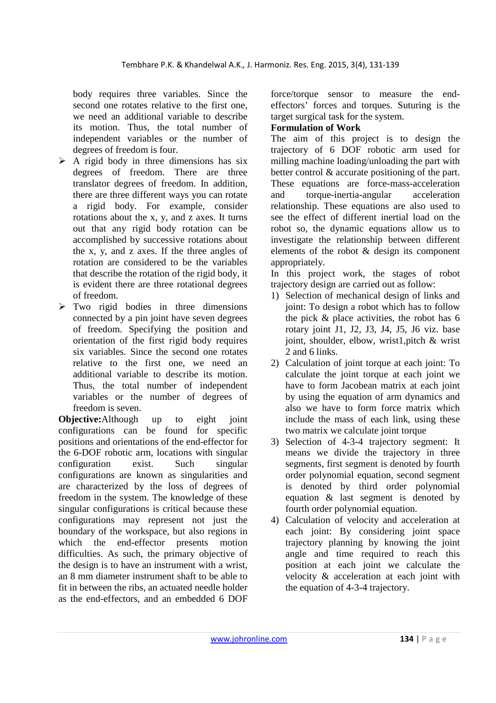body requires three variables. Since the second one rotates relative to the first one, we need an additional variable to describe its motion. Thus, the total number of independent variables or the number of degrees of freedom is four.

- $\triangleright$  A rigid body in three dimensions has six degrees of freedom. There are three translator degrees of freedom. In addition, there are three different ways you can rotate a rigid body. For example, consider rotations about the x, y, and z axes. It turns out that any rigid body rotation can be accomplished by successive rotations about the x, y, and z axes. If the three angles of rotation are considered to be the variables that describe the rotation of the rigid body, it is evident there are three rotational degrees of freedom.
- $\triangleright$  Two rigid bodies in three dimensions connected by a pin joint have seven degrees of freedom. Specifying the position and orientation of the first rigid body requires six variables. Since the second one rotates relative to the first one, we need an additional variable to describe its motion. Thus, the total number of independent variables or the number of degrees of freedom is seven.

**Objective:**Although up to eight joint configurations can be found for specific positions and orientations of the end-effector for the 6-DOF robotic arm, locations with singular configuration exist. Such singular configurations are known as singularities and are characterized by the loss of degrees of freedom in the system. The knowledge of these singular configurations is critical because these configurations may represent not just the boundary of the workspace, but also regions in which the end-effector presents motion difficulties. As such, the primary objective of the design is to have an instrument with a wrist, an 8 mm diameter instrument shaft to be able to fit in between the ribs, an actuated needle holder as the end-effectors, and an embedded 6 DOF

force/torque sensor to measure the endeffectors' forces and torques. Suturing is the target surgical task for the system.

# **Formulation of Work**

The aim of this project is to design the trajectory of 6 DOF robotic arm used for milling machine loading/unloading the part with better control & accurate positioning of the part. These equations are force-mass-acceleration and torque-inertia-angular acceleration relationship. These equations are also used to see the effect of different inertial load on the robot so, the dynamic equations allow us to investigate the relationship between different elements of the robot & design its component appropriately.

In this project work, the stages of robot trajectory design are carried out as follow:

- 1) Selection of mechanical design of links and joint: To design a robot which has to follow the pick & place activities, the robot has 6 rotary joint J1, J2, J3, J4, J5, J6 viz. base joint, shoulder, elbow, wrist1,pitch & wrist 2 and 6 links.
- 2) Calculation of joint torque at each joint: To calculate the joint torque at each joint we have to form Jacobean matrix at each joint by using the equation of arm dynamics and also we have to form force matrix which include the mass of each link, using these two matrix we calculate joint torque
- 3) Selection of 4-3-4 trajectory segment: It means we divide the trajectory in three segments, first segment is denoted by fourth order polynomial equation, second segment is denoted by third order polynomial equation & last segment is denoted by fourth order polynomial equation.
- 4) Calculation of velocity and acceleration at each joint: By considering joint space trajectory planning by knowing the joint angle and time required to reach this position at each joint we calculate the velocity & acceleration at each joint with the equation of 4-3-4 trajectory.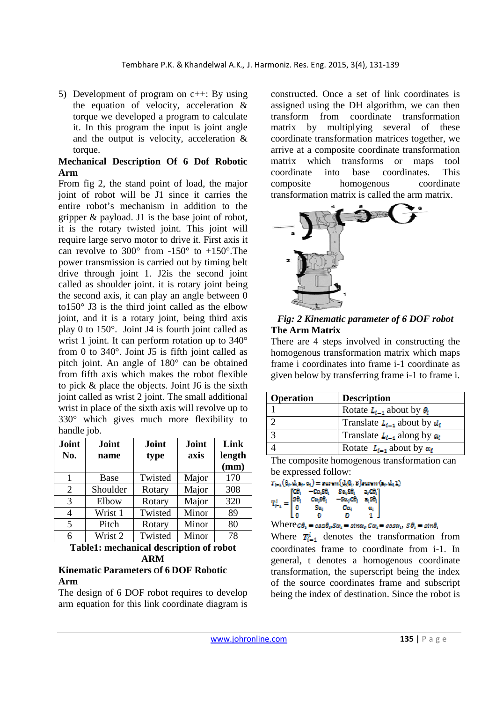5) Development of program on c++: By using the equation of velocity, acceleration & torque we developed a program to calculate it. In this program the input is joint angle and the output is velocity, acceleration & torque.

## **Mechanical Description Of 6 Dof Robotic Arm**

From fig 2, the stand point of load, the major joint of robot will be J1 since it carries the entire robot's mechanism in addition to the gripper & payload. J1 is the base joint of robot, it is the rotary twisted joint. This joint will require large servo motor to drive it. First axis it can revolve to  $300^{\circ}$  from  $-150^{\circ}$  to  $+150^{\circ}$ . The power transmission is carried out by timing belt drive through joint 1. J2is the second joint called as shoulder joint. it is rotary joint being the second axis, it can play an angle between 0 to  $150^\circ$  J3 is the third joint called as the elbow joint, and it is a rotary joint, being third axis play 0 to 150°. Joint J4 is fourth joint called as wrist 1 joint. It can perform rotation up to 340° from 0 to 340°. Joint J5 is fifth joint called as pitch joint. An angle of 180° can be obtained from fifth axis which makes the robot flexible to pick & place the objects. Joint J6 is the sixth joint called as wrist 2 joint. The small additional wrist in place of the sixth axis will revolve up to 330° which gives much more flexibility to handle job.

| Joint<br>No. | Joint<br>name | Joint<br>type | Joint<br>axis | Link<br>length<br>(mm) |
|--------------|---------------|---------------|---------------|------------------------|
|              | Base          | Twisted       | Major         | 170                    |
| 2            | Shoulder      | Rotary        | Major         | 308                    |
| 3            | Elbow         | Rotary        | Major         | 320                    |
| 4            | Wrist 1       | Twisted       | Minor         | 89                     |
| 5            | Pitch         | Rotary        | Minor         | 80                     |
| 6            | Wrist 2       | Twisted       | Minor         | 78                     |

**Table1: mechanical description of robot ARM** 

## **Kinematic Parameters Of 6 DOF Robotic Arm**

The design of 6 DOF robot requires to develop arm equation for this link coordinate diagram is

constructed. Once a set of link coordinates is assigned using the DH algorithm, we can then transform from coordinate transformation matrix by multiplying several of these coordinate transformation matrices together, we arrive at a composite coordinate transformation matrix which transforms or maps tool coordinate into base coordinates. This composite homogenous coordinate transformation matrix is called the arm matrix.



### *Fig: 2 Kinematic parameter of 6 DOF robot*  **The Arm Matrix**

There are 4 steps involved in constructing the homogenous transformation matrix which maps frame i coordinates into frame i-1 coordinate as given below by transferring frame i-1 to frame i.

| <b>Operation</b> | <b>Description</b>                   |
|------------------|--------------------------------------|
|                  | Rotate $L_{i-1}$ about by $\theta_i$ |
|                  | Translate $L_{l-1}$ about by $d_l$   |
|                  | Translate $L_{i-1}$ along by $a_i$   |
|                  | Rotate $L_{i-1}$ about by $\alpha_i$ |

The composite homogenous transformation can be expressed follow:

 $T_{k-1}(\theta_i, d_1\mathbf{z}_i, \alpha_i) = \text{serverw}(d_i\theta_i, 3)$ ecrew $(\mathbf{z}_i, d_1\mathbf{1})$ rco,  $-Ca_4S\theta_1 = S\alpha_4S\theta_1$  $\mathbf{a}_i\mathbf{C}\mathbf{0}_i$  $T_{i-1}^i = \begin{bmatrix} S\theta_i \\ S\theta_i \\ 0 \end{bmatrix}$ Ca<sub>3</sub>S0<sub>2</sub>  $S_{0L_2}CO_2$ as0.  $S_{\text{M}_2}$  $Ca<sub>2</sub>$ œ, lа  $\alpha$  $\mathbf{r}$  $\mathbf{1}$ 

 $Where \mathcal{C}\theta_i = cos\theta_i$ ,  $Sa_i = sin\alpha_i$ ,  $Ca_i = cos\alpha_i$ ,  $S\theta_i = sin\theta_i$ 

Where  $\mathbf{T}_{i-1}^{i}$  denotes the transformation from coordinates frame to coordinate from i-1. In general, t denotes a homogenous coordinate transformation, the superscript being the index of the source coordinates frame and subscript being the index of destination. Since the robot is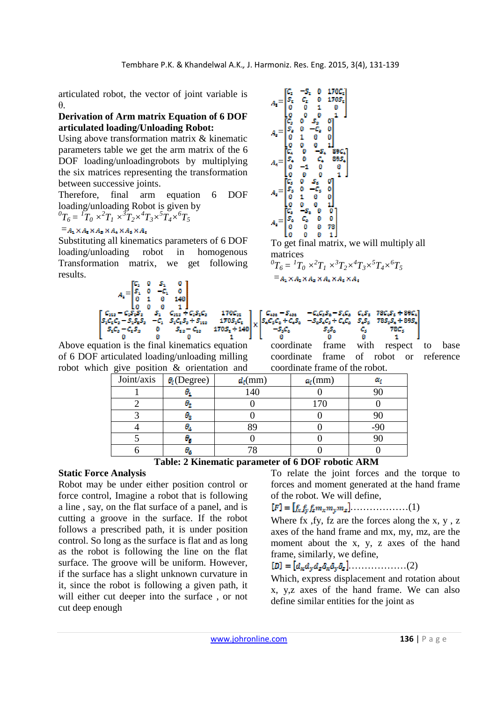articulated robot, the vector of joint variable is θ.

### **Derivation of Arm matrix Equation of 6 DOF articulated loading/Unloading Robot:**

Using above transformation matrix & kinematic parameters table we get the arm matrix of the 6 DOF loading/unloadingrobots by multiplying the six matrices representing the transformation between successive joints.

Therefore, final arm equation 6 DOF loading/unloading Robot is given by  ${}^0T_6 = \frac{1}{T_0} \times {}^2T_1 \times {}^3T_2 \times {}^4T_3 \times {}^5T_4 \times {}^6T_5$ 

## $=$  $A_1 \times A_2 \times A_3 \times A_4 \times A_5 \times A_6$

Substituting all kinematics parameters of 6 DOF loading/unloading robot in homogenous Transformation matrix, we get following results.



Above equation is the final kinematics equation of 6 DOF articulated loading/unloading milling robot which give position & orientation and



To get final matrix, we will multiply all matrices

 ${}^{0}T_{6} = {}^{1}T_{0} \times {}^{2}T_{1} \times {}^{3}T_{2} \times {}^{4}T_{3} \times {}^{5}T_{4} \times {}^{6}T_{5}$  $=$  $A_2 \times A_2 \times A_3 \times A_4 \times A_5 \times A_6$ 



coordinate frame with respect to base coordinate frame of robot or reference coordinate frame of the robot.

| Joint/axis | $\theta_i$ (Degree) | $d_i$ (mm) | $a_i$ (mm) | Œ,    |
|------------|---------------------|------------|------------|-------|
|            |                     | 140        |            |       |
|            |                     |            |            |       |
|            | о,                  |            |            |       |
|            | μ,                  |            |            | $-90$ |
|            | θ.                  |            |            |       |
|            |                     |            |            |       |

#### **Table: 2 Kinematic parameter of 6 DOF robotic ARM**

# **Static Force Analysis**

Robot may be under either position control or force control, Imagine a robot that is following a line , say, on the flat surface of a panel, and is cutting a groove in the surface. If the robot follows a prescribed path, it is under position control. So long as the surface is flat and as long as the robot is following the line on the flat surface. The groove will be uniform. However, if the surface has a slight unknown curvature in it, since the robot is following a given path, it will either cut deeper into the surface , or not cut deep enough

To relate the joint forces and the torque to forces and moment generated at the hand frame of the robot. We will define,

$$
[F] = [f_{\mathcal{R}}f_{\mathcal{Y}}f_{\mathcal{Z}}m_{\mathcal{X}}m_{\mathcal{Y}}m_{\mathcal{Z}}].\dots\dots\dots\dots(1)
$$

Where fx , fy, fz are the forces along the  $x, y, z$ axes of the hand frame and mx, my, mz, are the moment about the x, y, z axes of the hand frame, similarly, we define,

# $[D] = [d_{\kappa}d_{\kappa}d_{\kappa}\delta_{\kappa}\delta_{\kappa}\delta_{\kappa}], \dots \dots \dots \dots \dots \dots (2)$

Which, express displacement and rotation about x, y,z axes of the hand frame. We can also define similar entities for the joint as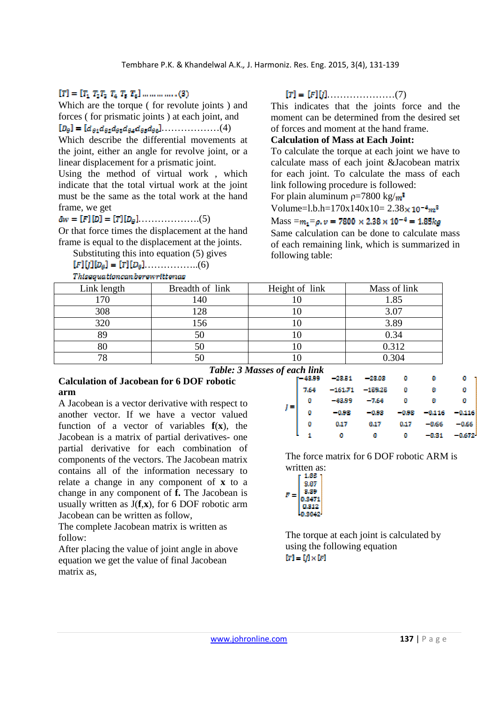# $[T] = [T_1 \ T_2 T_3 \ T_4 \ T_5 \ T_6] \dots \dots \dots \dots (3)$

Which are the torque ( for revolute joints ) and forces ( for prismatic joints ) at each joint, and  $[D_{\theta}] = [d_{\theta 1} d_{\theta 2} d_{\theta 3} d_{\theta 4} d_{\theta 5} d_{\theta 6}] \dots \dots \dots \dots \dots (4)$ 

Which describe the differential movements at the joint, either an angle for revolve joint, or a linear displacement for a prismatic joint.

Using the method of virtual work , which indicate that the total virtual work at the joint must be the same as the total work at the hand frame, we get

# ……………….(5)

Or that force times the displacement at the hand frame is equal to the displacement at the joints.

Substituting this into equation (5) gives

```
[F][j][D_{\rho}] = [T][D_{\rho}], \ldots, \ldots, \ldots, \ldots, (6)
```
**Thiseauationcanberewrittenas** 

## $[T] = [F][j] \dots \dots \dots \dots \dots \dots \dots (7)$

This indicates that the joints force and the moment can be determined from the desired set of forces and moment at the hand frame.

## **Calculation of Mass at Each Joint:**

To calculate the torque at each joint we have to calculate mass of each joint &Jacobean matrix for each joint. To calculate the mass of each link following procedure is followed:

For plain aluminum  $p=7800 \text{ kg/m}^3$ 

```
Volume=l.b.h=170x140x10=2.38\times 10^{-4}m^3
```
### $Mass = m_1 = \rho, \nu = 7800 \times 2.38 \times 10^{-4} = 1.85 kg$

Same calculation can be done to calculate mass of each remaining link, which is summarized in following table:

| Link length | Breadth of link | Height of link | Mass of link |
|-------------|-----------------|----------------|--------------|
|             | 140             |                | 1.85         |
| 308         | 128             |                | 3.07         |
| 320         | 156             |                | 3.89         |
|             |                 |                | 0.34         |
|             |                 |                | 0.312        |
| 78          |                 |                | ገ 304        |

**Table: 3 Masses of e** 

# **Calculation of Jacobean for 6 DOF robotic arm**

A Jacobean is a vector derivative with respect to another vector. If we have a vector valued function of a vector of variables **f**(**x**), the Jacobean is a matrix of partial derivatives- one partial derivative for each combination of components of the vectors. The Jacobean matrix contains all of the information necessary to relate a change in any component of **x** to a change in any component of **f.** The Jacobean is usually written as  $J(f, x)$ , for 6 DOF robotic arm Jacobean can be written as follow,

The complete Jacobean matrix is written as follow:

After placing the value of joint angle in above equation we get the value of final Jacobean matrix as,

| <sup>c</sup> each link |          |           |       |          |        |  |
|------------------------|----------|-----------|-------|----------|--------|--|
| 43.99                  | - 2015 1 | -2800     | и     | u        | ø      |  |
| 7.64                   | -161.71  | $-159.25$ | ø     | ø        | u      |  |
| ø                      | -43.99   | -7.64     | n     | u        | ø      |  |
| ø                      | -0.98    | $-0.98$   | -0.98 | $-0.116$ | -0.116 |  |
| ø                      | 0.17     | 0.17      | 0.17  | -466     | -0.66  |  |
| ۹                      | ū        | u         | n     | - 41.511 | 72     |  |
|                        |          |           |       |          |        |  |

The force matrix for 6 DOF robotic ARM is written as:<br> $\frac{1.85}{1}$ 



The torque at each joint is calculated by using the following equation  $[T] = [j] \times [F]$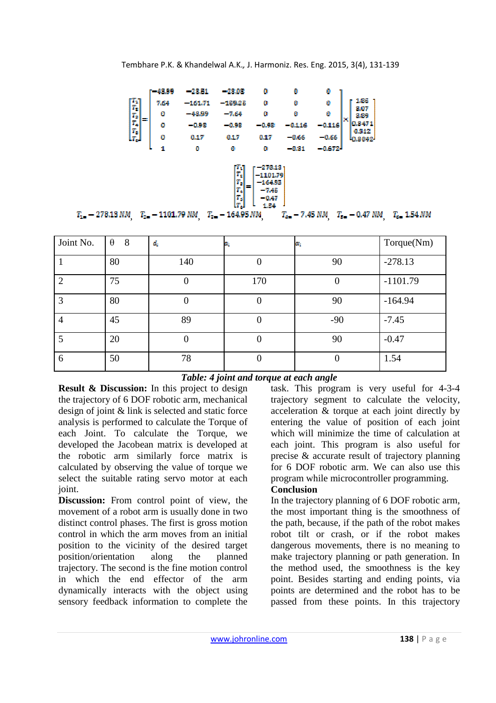

| Joint No.                   | $\theta$<br>8 | $\boldsymbol{d}_i$ | e.  | ĸ,    | Torque(Nm) |
|-----------------------------|---------------|--------------------|-----|-------|------------|
|                             | 80            | 140                | U   | 90    | $-278.13$  |
| $\mathcal{D}_{\mathcal{L}}$ | 75            |                    | 170 | 0     | $-1101.79$ |
| 3                           | 80            |                    | U   | 90    | $-164.94$  |
| 4                           | 45            | 89                 | U   | $-90$ | $-7.45$    |
|                             | 20            |                    |     | 90    | $-0.47$    |
| 6                           | 50            | 78                 | U   | 0     | 1.54       |

## *Table: 4 joint and torque at each angle*

**Result & Discussion:** In this project to design the trajectory of 6 DOF robotic arm, mechanical design of joint & link is selected and static force analysis is performed to calculate the Torque of each Joint. To calculate the Torque, we developed the Jacobean matrix is developed at the robotic arm similarly force matrix is calculated by observing the value of torque we select the suitable rating servo motor at each joint.

**Discussion:** From control point of view, the movement of a robot arm is usually done in two distinct control phases. The first is gross motion control in which the arm moves from an initial position to the vicinity of the desired target position/orientation along the planned trajectory. The second is the fine motion control in which the end effector of the arm dynamically interacts with the object using sensory feedback information to complete the

task. This program is very useful for 4-3-4 trajectory segment to calculate the velocity, acceleration & torque at each joint directly by entering the value of position of each joint which will minimize the time of calculation at each joint. This program is also useful for precise & accurate result of trajectory planning for 6 DOF robotic arm. We can also use this program while microcontroller programming.

## **Conclusion**

In the trajectory planning of 6 DOF robotic arm, the most important thing is the smoothness of the path, because, if the path of the robot makes robot tilt or crash, or if the robot makes dangerous movements, there is no meaning to make trajectory planning or path generation. In the method used, the smoothness is the key point. Besides starting and ending points, via points are determined and the robot has to be passed from these points. In this trajectory